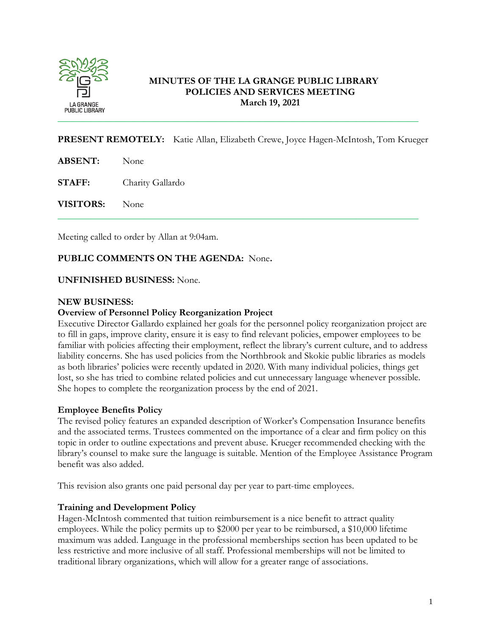

# **MINUTES OF THE LA GRANGE PUBLIC LIBRARY POLICIES AND SERVICES MEETING March 19, 2021**

**PRESENT REMOTELY:** Katie Allan, Elizabeth Crewe, Joyce Hagen-McIntosh, Tom Krueger

\_\_\_\_\_\_\_\_\_\_\_\_\_\_\_\_\_\_\_\_\_\_\_\_\_\_\_\_\_\_\_\_\_\_\_\_\_\_\_\_\_\_\_\_\_\_\_\_\_\_\_\_\_\_\_\_\_\_\_\_\_\_\_\_\_\_\_\_\_\_\_\_\_\_\_

**ABSENT:** None

**STAFF:** Charity Gallardo

**VISITORS:** None

Meeting called to order by Allan at 9:04am.

## **PUBLIC COMMENTS ON THE AGENDA:** None**.**

## **UNFINISHED BUSINESS:** None.

## **NEW BUSINESS:**

## **Overview of Personnel Policy Reorganization Project**

Executive Director Gallardo explained her goals for the personnel policy reorganization project are to fill in gaps, improve clarity, ensure it is easy to find relevant policies, empower employees to be familiar with policies affecting their employment, reflect the library's current culture, and to address liability concerns. She has used policies from the Northbrook and Skokie public libraries as models as both libraries' policies were recently updated in 2020. With many individual policies, things get lost, so she has tried to combine related policies and cut unnecessary language whenever possible. She hopes to complete the reorganization process by the end of 2021.

## **Employee Benefits Policy**

The revised policy features an expanded description of Worker's Compensation Insurance benefits and the associated terms. Trustees commented on the importance of a clear and firm policy on this topic in order to outline expectations and prevent abuse. Krueger recommended checking with the library's counsel to make sure the language is suitable. Mention of the Employee Assistance Program benefit was also added.

This revision also grants one paid personal day per year to part-time employees.

## **Training and Development Policy**

Hagen-McIntosh commented that tuition reimbursement is a nice benefit to attract quality employees. While the policy permits up to \$2000 per year to be reimbursed, a \$10,000 lifetime maximum was added. Language in the professional memberships section has been updated to be less restrictive and more inclusive of all staff. Professional memberships will not be limited to traditional library organizations, which will allow for a greater range of associations.